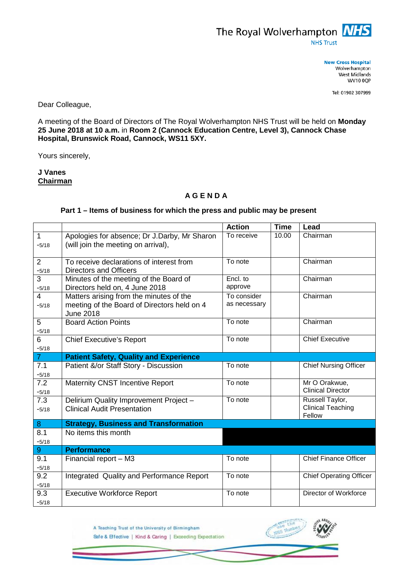

**New Cross Hospital** Wolverhampton West Midlands **WV10 0QP** 

Tel: 01902 307999

Dear Colleague,

A meeting of the Board of Directors of The Royal Wolverhampton NHS Trust will be held on **Monday 25 June 2018 at 10 a.m.** in **Room 2 (Cannock Education Centre, Level 3), Cannock Chase Hospital, Brunswick Road, Cannock, WS11 5XY.**

Yours sincerely,

**J Vanes Chairman**

## **A G E N D A**

## **Part 1 – Items of business for which the press and public may be present**

|                |                                                                     | <b>Action</b> | <b>Time</b> | Lead                               |
|----------------|---------------------------------------------------------------------|---------------|-------------|------------------------------------|
| $\mathbf{1}$   | Apologies for absence; Dr J.Darby, Mr Sharon                        | To receive    | 10.00       | Chairman                           |
| $-5/18$        | (will join the meeting on arrival),                                 |               |             |                                    |
|                |                                                                     |               |             |                                    |
| 2              | To receive declarations of interest from                            | To note       |             | Chairman                           |
| $-5/18$        | <b>Directors and Officers</b>                                       |               |             |                                    |
| 3              | Minutes of the meeting of the Board of                              | Encl. to      |             | Chairman                           |
| $-5/18$        | Directors held on, 4 June 2018                                      | approve       |             |                                    |
| $\overline{4}$ | Matters arising from the minutes of the                             | To consider   |             | Chairman                           |
| $-5/18$        | meeting of the Board of Directors held on 4                         | as necessary  |             |                                    |
|                | <b>June 2018</b>                                                    |               |             |                                    |
| 5              | <b>Board Action Points</b>                                          | To note       |             | Chairman                           |
| $-5/18$        |                                                                     |               |             |                                    |
| 6              | <b>Chief Executive's Report</b>                                     | To note       |             | <b>Chief Executive</b>             |
| $-5/18$        |                                                                     |               |             |                                    |
| $\overline{7}$ | <b>Patient Safety, Quality and Experience</b>                       |               |             |                                    |
| 7.1            | Patient &/or Staff Story - Discussion                               | To note       |             | <b>Chief Nursing Officer</b>       |
| $-5/18$        |                                                                     |               |             |                                    |
| 7.2            | Maternity CNST Incentive Report                                     | To note       |             | Mr O Orakwue,                      |
| $-5/18$        |                                                                     |               |             | <b>Clinical Director</b>           |
| 7.3            | Delirium Quality Improvement Project -                              | To note       |             | Russell Taylor,                    |
| $-5/18$        | <b>Clinical Audit Presentation</b>                                  |               |             | <b>Clinical Teaching</b><br>Fellow |
| 8              |                                                                     |               |             |                                    |
| 8.1            | <b>Strategy, Business and Transformation</b><br>No items this month |               |             |                                    |
| $-5/18$        |                                                                     |               |             |                                    |
| $9\,$          | <b>Performance</b>                                                  |               |             |                                    |
| 9.1            | Financial report - M3                                               | To note       |             | <b>Chief Finance Officer</b>       |
|                |                                                                     |               |             |                                    |
| $-5/18$<br>9.2 |                                                                     | To note       |             | <b>Chief Operating Officer</b>     |
|                | Integrated Quality and Performance Report                           |               |             |                                    |
| $-5/18$        |                                                                     | To note       |             | Director of Workforce              |
| 9.3            | <b>Executive Workforce Report</b>                                   |               |             |                                    |
| $-5/18$        |                                                                     |               |             |                                    |



A Teaching Trust of the University of Birmingham Safe & Effective | Kind & Caring | Exceeding Expectation